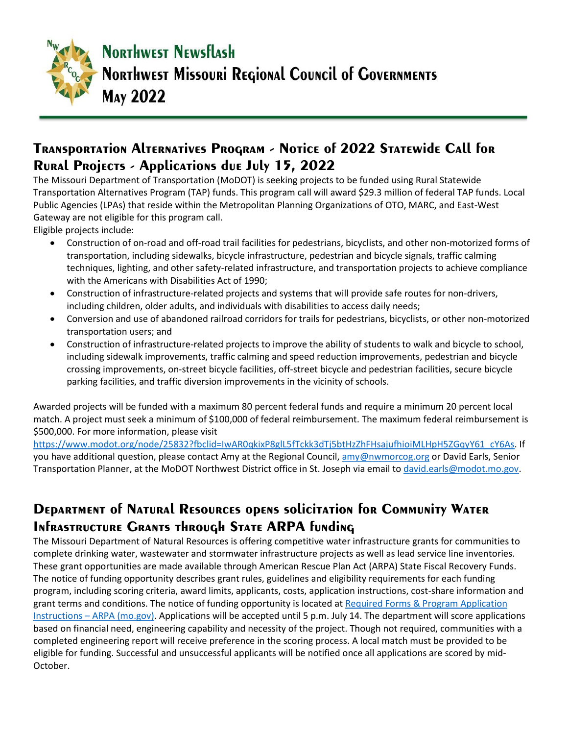

### **Transportation Alternatives Program - Notice of 2022 Statewide Call for Rural Projects - Applications due July 15, 2022**

The Missouri Department of Transportation (MoDOT) is seeking projects to be funded using Rural Statewide Transportation Alternatives Program (TAP) funds. This program call will award \$29.3 million of federal TAP funds. Local Public Agencies (LPAs) that reside within the Metropolitan Planning Organizations of OTO, MARC, and East-West Gateway are not eligible for this program call.

Eligible projects include:

- Construction of on-road and off-road trail facilities for pedestrians, bicyclists, and other non-motorized forms of transportation, including sidewalks, bicycle infrastructure, pedestrian and bicycle signals, traffic calming techniques, lighting, and other safety-related infrastructure, and transportation projects to achieve compliance with the Americans with Disabilities Act of 1990;
- Construction of infrastructure-related projects and systems that will provide safe routes for non-drivers, including children, older adults, and individuals with disabilities to access daily needs;
- Conversion and use of abandoned railroad corridors for trails for pedestrians, bicyclists, or other non-motorized transportation users; and
- Construction of infrastructure-related projects to improve the ability of students to walk and bicycle to school, including sidewalk improvements, traffic calming and speed reduction improvements, pedestrian and bicycle crossing improvements, on-street bicycle facilities, off-street bicycle and pedestrian facilities, secure bicycle parking facilities, and traffic diversion improvements in the vicinity of schools.

Awarded projects will be funded with a maximum 80 percent federal funds and require a minimum 20 percent local match. A project must seek a minimum of \$100,000 of federal reimbursement. The maximum federal reimbursement is \$500,000. For more information, please visit

[https://www.modot.org/node/25832?fbclid=IwAR0qkixP8glL5fTckk3dTj5btHzZhFHsajufhioiMLHpH5ZGqyY61\\_cY6As.](https://nam04.safelinks.protection.outlook.com/?url=https%3A%2F%2Fwww.modot.org%2Fnode%2F25832%3Ffbclid%3DIwAR0qkixP8glL5fTckk3dTj5btHzZhFHsajufhioiMLHpH5ZGqyY61_cY6As&data=05%7C01%7Csteve%40nwmorcog.org%7C3929405d791347f23bd408da3da52e81%7C57c6f52d3531437bb0114809a0290b4c%7C0%7C0%7C637890077051584179%7CUnknown%7CTWFpbGZsb3d8eyJWIjoiMC4wLjAwMDAiLCJQIjoiV2luMzIiLCJBTiI6Ik1haWwiLCJXVCI6Mn0%3D%7C3000%7C%7C%7C&sdata=nmHdGDnAymWRp1tpb0GW9Ck%2FFUmZYXlR%2FoWsbw7gFik%3D&reserved=0) If you have additional question, please contact Amy at the Regional Council, [amy@nwmorcog.org](mailto:amy@nwmorcog.org) or David Earls, Senior Transportation Planner, at the MoDOT Northwest District office in St. Joseph via email to [david.earls@modot.mo.gov.](mailto:david.earls@modot.mo.gov)

#### **DEPARTMENT OF NATURAL RESOURCES OPENS SOLICITATION FOR COMMUNITY WATER INFRASTRUCTURE GRANTS THROUGH STATE ARPA funding**

The Missouri Department of Natural Resources is offering competitive water infrastructure grants for communities to complete drinking water, wastewater and stormwater infrastructure projects as well as lead service line inventories. These grant opportunities are made available through American Rescue Plan Act (ARPA) State Fiscal Recovery Funds. The notice of funding opportunity describes grant rules, guidelines and eligibility requirements for each funding program, including scoring criteria, award limits, applicants, costs, application instructions, cost-share information and grant terms and conditions. The notice of funding opportunity is located at [Required Forms & Program Application](https://nam04.safelinks.protection.outlook.com/?url=https%3A%2F%2Flnks.gd%2Fl%2FeyJhbGciOiJIUzI1NiJ9.eyJidWxsZXRpbl9saW5rX2lkIjoxMDMsInVyaSI6ImJwMjpjbGljayIsImJ1bGxldGluX2lkIjoiMjAyMjA1MTYuNTc5ODQ5MDEiLCJ1cmwiOiJodHRwczovL21vYXJwYS5tby5nb3YvcmVxdWlyZWQtZm9ybXMtcHJvZ3JhbS1hcHBsaWNhdGlvbi1pbnN0cnVjdGlvbnMvIn0.yiUHjKN2SXdg-n4zChGnbGfAN2U-eG0Nv51GcH5iTlo%2Fs%2F1884233235%2Fbr%2F131403166638-l&data=05%7C01%7Csteve%40nwmorcog.org%7C3929405d791347f23bd408da3da52e81%7C57c6f52d3531437bb0114809a0290b4c%7C0%7C0%7C637890077051584179%7CUnknown%7CTWFpbGZsb3d8eyJWIjoiMC4wLjAwMDAiLCJQIjoiV2luMzIiLCJBTiI6Ik1haWwiLCJXVCI6Mn0%3D%7C3000%7C%7C%7C&sdata=XuSO%2FoRUoPCVKnxLBjlHuxkZhC02fTJ%2F9dtzMjDyVO8%3D&reserved=0) Instructions – [ARPA \(mo.gov\).](https://nam04.safelinks.protection.outlook.com/?url=https%3A%2F%2Flnks.gd%2Fl%2FeyJhbGciOiJIUzI1NiJ9.eyJidWxsZXRpbl9saW5rX2lkIjoxMDMsInVyaSI6ImJwMjpjbGljayIsImJ1bGxldGluX2lkIjoiMjAyMjA1MTYuNTc5ODQ5MDEiLCJ1cmwiOiJodHRwczovL21vYXJwYS5tby5nb3YvcmVxdWlyZWQtZm9ybXMtcHJvZ3JhbS1hcHBsaWNhdGlvbi1pbnN0cnVjdGlvbnMvIn0.yiUHjKN2SXdg-n4zChGnbGfAN2U-eG0Nv51GcH5iTlo%2Fs%2F1884233235%2Fbr%2F131403166638-l&data=05%7C01%7Csteve%40nwmorcog.org%7C3929405d791347f23bd408da3da52e81%7C57c6f52d3531437bb0114809a0290b4c%7C0%7C0%7C637890077051584179%7CUnknown%7CTWFpbGZsb3d8eyJWIjoiMC4wLjAwMDAiLCJQIjoiV2luMzIiLCJBTiI6Ik1haWwiLCJXVCI6Mn0%3D%7C3000%7C%7C%7C&sdata=XuSO%2FoRUoPCVKnxLBjlHuxkZhC02fTJ%2F9dtzMjDyVO8%3D&reserved=0) Applications will be accepted until 5 p.m. July 14. The department will score applications based on financial need, engineering capability and necessity of the project. Though not required, communities with a completed engineering report will receive preference in the scoring process. A local match must be provided to be eligible for funding. Successful and unsuccessful applicants will be notified once all applications are scored by mid-October.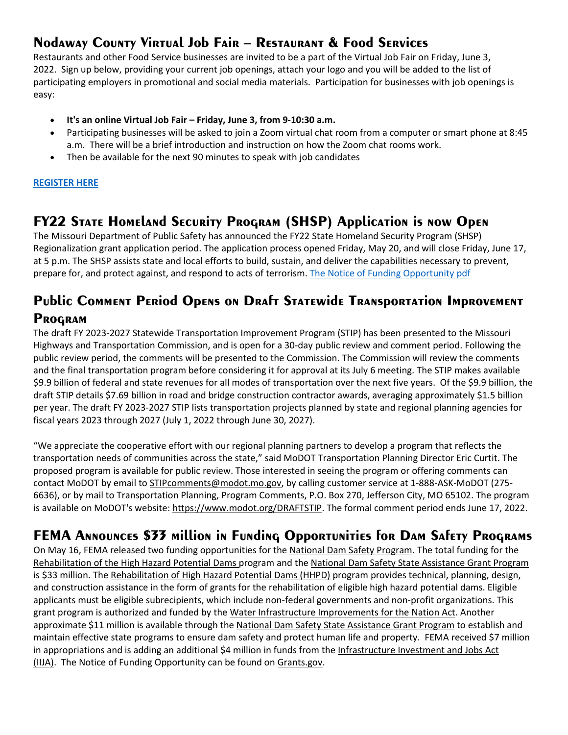# **Nodaway County Virtual Job Fair – Restaurant & Food Services**

Restaurants and other Food Service businesses are invited to be a part of the Virtual Job Fair on Friday, June 3, 2022. Sign up below, providing your current job openings, attach your logo and you will be added to the list of participating employers in promotional and social media materials. Participation for businesses with job openings is easy:

- **It's an online Virtual Job Fair – Friday, June 3, from 9-10:30 a.m.**
- Participating businesses will be asked to join a Zoom virtual chat room from a computer or smart phone at 8:45 a.m. There will be a brief introduction and instruction on how the Zoom chat rooms work.
- Then be available for the next 90 minutes to speak with job candidates

#### **[REGISTER HERE](mailto:econlisa@nodaway.biz?subject=Virtual%20Job%20Fair%20Registration%20-%20June%203rd&body=Yes%2C%20please%20sign%20me%20up%20for%20the%20June%203rd%20-%20Virtual%20Job%20Fair.%20%0ARestaurant%20Name%3A%0APositions%20Needed%3A%20%0AAttach%20Logo%20for%20social%20media%20marketing%3A%20)**

#### **FY22 State Homeland Security Program (SHSP) Application is now Open**

The Missouri Department of Public Safety has announced the FY22 State Homeland Security Program (SHSP) Regionalization grant application period. The application process opened Friday, May 20, and will close Friday, June 17, at 5 p.m. The SHSP assists state and local efforts to build, sustain, and deliver the capabilities necessary to prevent, prepare for, and protect against, and respond to acts of terrorism. [The Notice of Funding Opportunity](https://nwmorcogdotorg.files.wordpress.com/2022/05/fy-2022-state-homeland-security-program-nofo.pdf) pdf

#### **Public Comment Period Opens on Draft Statewide Transportation Improvement Program**

The draft FY 2023-2027 Statewide Transportation Improvement Program (STIP) has been presented to the Missouri Highways and Transportation Commission, and is open for a 30-day public review and comment period. Following the public review period, the comments will be presented to the Commission. The Commission will review the comments and the final transportation program before considering it for approval at its July 6 meeting. The STIP makes available \$9.9 billion of federal and state revenues for all modes of transportation over the next five years. Of the \$9.9 billion, the draft STIP details \$7.69 billion in road and bridge construction contractor awards, averaging approximately \$1.5 billion per year. The draft FY 2023-2027 STIP lists transportation projects planned by state and regional planning agencies for fiscal years 2023 through 2027 (July 1, 2022 through June 30, 2027).

"We appreciate the cooperative effort with our regional planning partners to develop a program that reflects the transportation needs of communities across the state," said MoDOT Transportation Planning Director Eric Curtit. The proposed program is available for public review. Those interested in seeing the program or offering comments can contact MoDOT by email to [STIPcomments@modot.mo.gov,](mailto:STIPcomments@modot.mo.gov) by calling customer service at 1-888-ASK-MoDOT (275-6636), or by mail to Transportation Planning, Program Comments, P.O. Box 270, Jefferson City, MO 65102. The program is available on MoDOT's website: [https://www.modot.org/DRAFTSTIP.](https://nam04.safelinks.protection.outlook.com/?url=https%3A%2F%2Fwww.modot.org%2FDRAFTSTIP&data=05%7C01%7Csteve%40nwmorcog.org%7C3929405d791347f23bd408da3da52e81%7C57c6f52d3531437bb0114809a0290b4c%7C0%7C0%7C637890077051584179%7CUnknown%7CTWFpbGZsb3d8eyJWIjoiMC4wLjAwMDAiLCJQIjoiV2luMzIiLCJBTiI6Ik1haWwiLCJXVCI6Mn0%3D%7C3000%7C%7C%7C&sdata=q8bJT8dWA%2FpOzhHltcaQ12sB4EdE7hzlHKKbn2tii5Q%3D&reserved=0) The formal comment period ends June 17, 2022.

# **FEMA Announces \$33 million in Funding Opportunities for Dam Safety Programs**

On May 16, FEMA released two funding opportunities for the [National Dam Safety Program.](https://nam04.safelinks.protection.outlook.com/?url=https%3A%2F%2Flnks.gd%2Fl%2FeyJhbGciOiJIUzI1NiJ9.eyJidWxsZXRpbl9saW5rX2lkIjoxMDAsInVyaSI6ImJwMjpjbGljayIsImJ1bGxldGluX2lkIjoiMjAyMjA1MTguNTgwNzc0NDEiLCJ1cmwiOiJodHRwczovL3d3dy5mZW1hLmdvdi9lbWVyZ2VuY3ktbWFuYWdlcnMvcmlzay1tYW5hZ2VtZW50L2RhbS1zYWZldHk_dXRtX3NvdXJjZT1HRCZ1dG1fbWVkaXVtPWVtYWlsJnV0bV9jYW1wYWlnbj1uZHNwK2dyYW50K3JlbGVhc2UifQ.IssTCaonOAFfqoa3hmWVtTPJTSn0A8fJRM2PiWyBGiQ%2Fs%2F1149630808%2Fbr%2F131497961289-l&data=05%7C01%7Csteve%40nwmorcog.org%7C3929405d791347f23bd408da3da52e81%7C57c6f52d3531437bb0114809a0290b4c%7C0%7C0%7C637890077051584179%7CUnknown%7CTWFpbGZsb3d8eyJWIjoiMC4wLjAwMDAiLCJQIjoiV2luMzIiLCJBTiI6Ik1haWwiLCJXVCI6Mn0%3D%7C3000%7C%7C%7C&sdata=oDJJIC3P%2BMSArZ66GMoMyq4b857asYSkCyoGuT%2BnCQ8%3D&reserved=0) The total funding for the [Rehabilitation of the High Hazard Potential Dams](https://nam04.safelinks.protection.outlook.com/?url=https%3A%2F%2Flnks.gd%2Fl%2FeyJhbGciOiJIUzI1NiJ9.eyJidWxsZXRpbl9saW5rX2lkIjoxMDEsInVyaSI6ImJwMjpjbGljayIsImJ1bGxldGluX2lkIjoiMjAyMjA1MTguNTgwNzc0NDEiLCJ1cmwiOiJodHRwczovL3d3dy5mZW1hLmdvdi9lbWVyZ2VuY3ktbWFuYWdlcnMvcmlzay1tYW5hZ2VtZW50L2RhbS1zYWZldHkvcmVoYWJpbGl0YXRpb24taGlnaC1oYXphcmQtcG90ZW50aWFsLWRhbXM_dXRtX3NvdXJjZT1HRCZ1dG1fbWVkaXVtPWVtYWlsJnV0bV9jYW1wYWlnbj1uZHNwK2dyYW50K3JlbGVhc2UifQ.2E0HO7ZokzKTDzu43ChLPf3sA912VlYTVeTlp5y__K0%2Fs%2F1149630808%2Fbr%2F131497961289-l&data=05%7C01%7Csteve%40nwmorcog.org%7C3929405d791347f23bd408da3da52e81%7C57c6f52d3531437bb0114809a0290b4c%7C0%7C0%7C637890077051584179%7CUnknown%7CTWFpbGZsb3d8eyJWIjoiMC4wLjAwMDAiLCJQIjoiV2luMzIiLCJBTiI6Ik1haWwiLCJXVCI6Mn0%3D%7C3000%7C%7C%7C&sdata=WL3n1ec%2FcCEWFhGqQ%2FqLoh%2FBQcP7P9sqJNFCM3DFOQI%3D&reserved=0) program and the [National Dam Safety State Assistance Grant Program](https://nam04.safelinks.protection.outlook.com/?url=https%3A%2F%2Flnks.gd%2Fl%2FeyJhbGciOiJIUzI1NiJ9.eyJidWxsZXRpbl9saW5rX2lkIjoxMDIsInVyaSI6ImJwMjpjbGljayIsImJ1bGxldGluX2lkIjoiMjAyMjA1MTguNTgwNzc0NDEiLCJ1cmwiOiJodHRwczovL3d3dy5mZW1hLmdvdi9lbWVyZ2VuY3ktbWFuYWdlcnMvcmlzay1tYW5hZ2VtZW50L2RhbS1zYWZldHkvZ3JhbnRzP3V0bV9zb3VyY2U9R0QmdXRtX21lZGl1bT1lbWFpbCZ1dG1fY2FtcGFpZ249bmRzcCtncmFudCtyZWxlYXNlIn0.yWhjKEyx3-KGdUmxpe5adb2b40mrCxI2lQNu2jKrdzI%2Fs%2F1149630808%2Fbr%2F131497961289-l&data=05%7C01%7Csteve%40nwmorcog.org%7C3929405d791347f23bd408da3da52e81%7C57c6f52d3531437bb0114809a0290b4c%7C0%7C0%7C637890077051584179%7CUnknown%7CTWFpbGZsb3d8eyJWIjoiMC4wLjAwMDAiLCJQIjoiV2luMzIiLCJBTiI6Ik1haWwiLCJXVCI6Mn0%3D%7C3000%7C%7C%7C&sdata=UkYZZn9Ms57TYzO7ASmFie4yXX9htN7jmEXttzHm5zM%3D&reserved=0) is \$33 million. The [Rehabilitation of High Hazard Potential Dams \(HHPD\)](https://nam04.safelinks.protection.outlook.com/?url=https%3A%2F%2Flnks.gd%2Fl%2FeyJhbGciOiJIUzI1NiJ9.eyJidWxsZXRpbl9saW5rX2lkIjoxMDMsInVyaSI6ImJwMjpjbGljayIsImJ1bGxldGluX2lkIjoiMjAyMjA1MTguNTgwNzc0NDEiLCJ1cmwiOiJodHRwczovL3d3dy5mZW1hLmdvdi9lbWVyZ2VuY3ktbWFuYWdlcnMvcmlzay1tYW5hZ2VtZW50L2RhbS1zYWZldHkvcmVoYWJpbGl0YXRpb24taGlnaC1oYXphcmQtcG90ZW50aWFsLWRhbXM_dXRtX3NvdXJjZT1HRCZ1dG1fbWVkaXVtPWVtYWlsJnV0bV9jYW1wYWlnbj1uZHNwK2dyYW50K3JlbGVhc2UifQ.vpNStIq65u14mDg1b02yaD9m3RhyKH-8JCcrYyzexgA%2Fs%2F1149630808%2Fbr%2F131497961289-l&data=05%7C01%7Csteve%40nwmorcog.org%7C3929405d791347f23bd408da3da52e81%7C57c6f52d3531437bb0114809a0290b4c%7C0%7C0%7C637890077051584179%7CUnknown%7CTWFpbGZsb3d8eyJWIjoiMC4wLjAwMDAiLCJQIjoiV2luMzIiLCJBTiI6Ik1haWwiLCJXVCI6Mn0%3D%7C3000%7C%7C%7C&sdata=MamYK8bo%2F7tAAB7YCSTMdhiSSRptc1NXnneDlrV42cI%3D&reserved=0) program provides technical, planning, design, and construction assistance in the form of grants for the rehabilitation of eligible high hazard potential dams. Eligible applicants must be eligible subrecipients, which include non-federal governments and non-profit organizations. This grant program is authorized and funded by th[e Water Infrastructure Improvements for the Nation Act.](https://nam04.safelinks.protection.outlook.com/?url=https%3A%2F%2Flnks.gd%2Fl%2FeyJhbGciOiJIUzI1NiJ9.eyJidWxsZXRpbl9saW5rX2lkIjoxMDQsInVyaSI6ImJwMjpjbGljayIsImJ1bGxldGluX2lkIjoiMjAyMjA1MTguNTgwNzc0NDEiLCJ1cmwiOiJodHRwczovL3d3dy5jb25ncmVzcy5nb3YvYmlsbC8xMTR0aC1jb25ncmVzcy9zZW5hdGUtYmlsbC82MTIvdGV4dCJ9.s-3t3TGQwy0R2vwPp5a82nl2E5KesZ0nyjM_78GnIZs%2Fs%2F1149630808%2Fbr%2F131497961289-l&data=05%7C01%7Csteve%40nwmorcog.org%7C3929405d791347f23bd408da3da52e81%7C57c6f52d3531437bb0114809a0290b4c%7C0%7C0%7C637890077051584179%7CUnknown%7CTWFpbGZsb3d8eyJWIjoiMC4wLjAwMDAiLCJQIjoiV2luMzIiLCJBTiI6Ik1haWwiLCJXVCI6Mn0%3D%7C3000%7C%7C%7C&sdata=hx1PQFSE63yh%2FFCmnDPPVkimrPURjWRN1ijjV5RA21E%3D&reserved=0) Another approximate \$11 million is available through the [National Dam Safety State Assistance Grant Program](https://nam04.safelinks.protection.outlook.com/?url=https%3A%2F%2Flnks.gd%2Fl%2FeyJhbGciOiJIUzI1NiJ9.eyJidWxsZXRpbl9saW5rX2lkIjoxMDYsInVyaSI6ImJwMjpjbGljayIsImJ1bGxldGluX2lkIjoiMjAyMjA1MTguNTgwNzc0NDEiLCJ1cmwiOiJodHRwczovL3d3dy5mZW1hLmdvdi9lbWVyZ2VuY3ktbWFuYWdlcnMvcmlzay1tYW5hZ2VtZW50L2RhbS1zYWZldHkvZ3JhbnRzP3V0bV9zb3VyY2U9R0QmdXRtX21lZGl1bT1lbWFpbCZ1dG1fY2FtcGFpZ249bmRzcCtncmFudCtyZWxlYXNlIn0.B0HG_kii7UppHOc2JUwQSHsrRk1fLqadlh1qSuFp_zU%2Fs%2F1149630808%2Fbr%2F131497961289-l&data=05%7C01%7Csteve%40nwmorcog.org%7C3929405d791347f23bd408da3da52e81%7C57c6f52d3531437bb0114809a0290b4c%7C0%7C0%7C637890077051584179%7CUnknown%7CTWFpbGZsb3d8eyJWIjoiMC4wLjAwMDAiLCJQIjoiV2luMzIiLCJBTiI6Ik1haWwiLCJXVCI6Mn0%3D%7C3000%7C%7C%7C&sdata=49%2FZMQjRasqdYog1vtSRshardfMa2nF7snlfhUk57eI%3D&reserved=0) to establish and maintain effective state programs to ensure dam safety and protect human life and property. FEMA received \$7 million in appropriations and is adding an additional \$4 million in funds from the [Infrastructure Investment and Jobs Act](https://nam04.safelinks.protection.outlook.com/?url=https%3A%2F%2Flnks.gd%2Fl%2FeyJhbGciOiJIUzI1NiJ9.eyJidWxsZXRpbl9saW5rX2lkIjoxMDcsInVyaSI6ImJwMjpjbGljayIsImJ1bGxldGluX2lkIjoiMjAyMjA1MTguNTgwNzc0NDEiLCJ1cmwiOiJodHRwczovL3d3dy5jb25ncmVzcy5nb3YvYmlsbC8xMTd0aC1jb25ncmVzcy9ob3VzZS1iaWxsLzM2ODQ_dXRtX3NvdXJjZT1HRCZ1dG1fbWVkaXVtPWVtYWlsJnV0bV9jYW1wYWlnbj1uZHNwK2dyYW50K3JlbGVhc2UifQ.ebdM0NWXMKT-934OCCxYpgMA6E3QBUtzVjts4z4vjh0%2Fs%2F1149630808%2Fbr%2F131497961289-l&data=05%7C01%7Csteve%40nwmorcog.org%7C3929405d791347f23bd408da3da52e81%7C57c6f52d3531437bb0114809a0290b4c%7C0%7C0%7C637890077051584179%7CUnknown%7CTWFpbGZsb3d8eyJWIjoiMC4wLjAwMDAiLCJQIjoiV2luMzIiLCJBTiI6Ik1haWwiLCJXVCI6Mn0%3D%7C3000%7C%7C%7C&sdata=GNUTkq6ysJRif9oHsReXOVVngeB4HAJ%2BFrtbw5zHcJ4%3D&reserved=0)  [\(IIJA\).](https://nam04.safelinks.protection.outlook.com/?url=https%3A%2F%2Flnks.gd%2Fl%2FeyJhbGciOiJIUzI1NiJ9.eyJidWxsZXRpbl9saW5rX2lkIjoxMDcsInVyaSI6ImJwMjpjbGljayIsImJ1bGxldGluX2lkIjoiMjAyMjA1MTguNTgwNzc0NDEiLCJ1cmwiOiJodHRwczovL3d3dy5jb25ncmVzcy5nb3YvYmlsbC8xMTd0aC1jb25ncmVzcy9ob3VzZS1iaWxsLzM2ODQ_dXRtX3NvdXJjZT1HRCZ1dG1fbWVkaXVtPWVtYWlsJnV0bV9jYW1wYWlnbj1uZHNwK2dyYW50K3JlbGVhc2UifQ.ebdM0NWXMKT-934OCCxYpgMA6E3QBUtzVjts4z4vjh0%2Fs%2F1149630808%2Fbr%2F131497961289-l&data=05%7C01%7Csteve%40nwmorcog.org%7C3929405d791347f23bd408da3da52e81%7C57c6f52d3531437bb0114809a0290b4c%7C0%7C0%7C637890077051584179%7CUnknown%7CTWFpbGZsb3d8eyJWIjoiMC4wLjAwMDAiLCJQIjoiV2luMzIiLCJBTiI6Ik1haWwiLCJXVCI6Mn0%3D%7C3000%7C%7C%7C&sdata=GNUTkq6ysJRif9oHsReXOVVngeB4HAJ%2BFrtbw5zHcJ4%3D&reserved=0) The Notice of Funding Opportunity can be found on [Grants.gov.](https://nam04.safelinks.protection.outlook.com/?url=https%3A%2F%2Flnks.gd%2Fl%2FeyJhbGciOiJIUzI1NiJ9.eyJidWxsZXRpbl9saW5rX2lkIjoxMTEsInVyaSI6ImJwMjpjbGljayIsImJ1bGxldGluX2lkIjoiMjAyMjA1MTcuNTgwMzk5NzEiLCJ1cmwiOiJodHRwczovL3d3dy5ncmFudHMuZ292L3dlYi9ncmFudHMvdmlldy1vcHBvcnR1bml0eS5odG1sP29wcElkPTMyNjkzOSJ9.kvtcQIkR0aujJTyj44n9BR9QTU6-QkXDfDO3cZ60TUs%2Fs%2F1149630808%2Fbr%2F131446988676-l&data=05%7C01%7Csteve%40nwmorcog.org%7C3929405d791347f23bd408da3da52e81%7C57c6f52d3531437bb0114809a0290b4c%7C0%7C0%7C637890077051584179%7CUnknown%7CTWFpbGZsb3d8eyJWIjoiMC4wLjAwMDAiLCJQIjoiV2luMzIiLCJBTiI6Ik1haWwiLCJXVCI6Mn0%3D%7C3000%7C%7C%7C&sdata=%2FGTx1M2rKu4KFFqEI5K6w4ct8DudxP4AeDyFDMGObfE%3D&reserved=0)